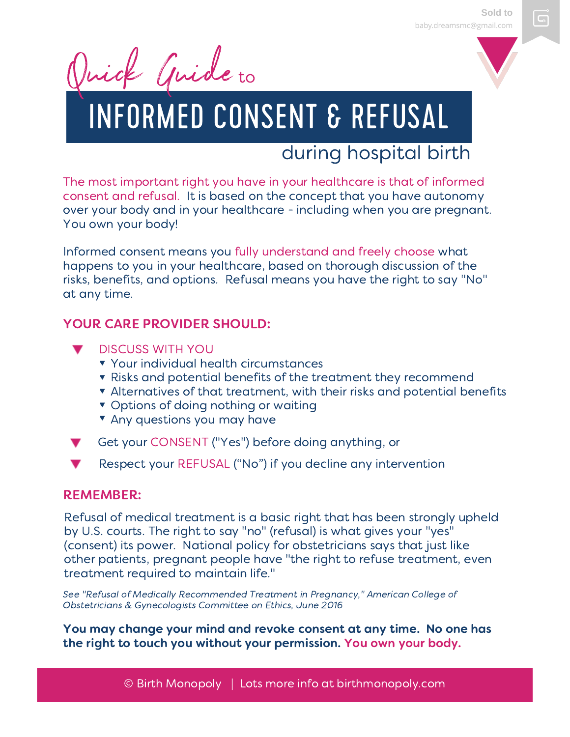Quick Guide to

# INFORMED CONSENT & REFUSAL

### during hospital birth

The most important right you have in your healthcare is that of informed consent and refusal. It is based on the concept that you have autonomy over your body and in your healthcare - including when you are pregnant. You own your body!

Informed consent means you fully understand and freely choose what happens to you in your healthcare, based on thorough discussion of the risks, benefits, and options. Refusal means you have the right to say "No" at any time.

### YOUR CARE PROVIDER SHOULD:

- DISCUSS WITH YOU
	- **v** Your individual health circumstances
	- **T** Risks and potential benefits of the treatment they recommend
	- Alternatives of that treatment, with their risks and potential benefits
	- **v** Options of doing nothing or waiting
	- **T** Any questions you may have
- Get your CONSENT ("Yes") before doing anything, or
- Respect your REFUSAL ("No") if you decline any intervention

### REMEMBER:

Refusal of medical treatment is a basic right that has been strongly upheld by U.S. courts. The right to say "no" (refusal) is what gives your "yes" (consent) its power. National policy for obstetricians says that just like other patients, pregnant people have "the right to refuse treatment, even treatment required to maintain life."

See "Refusal of Medically Recommended Treatment in Pregnancy," American College of Obstetricians & Gynecologists Committee on Ethics, June 2016

You may change your mind and revoke consent at any time. No one has the right to touch you without your permission. You own your body.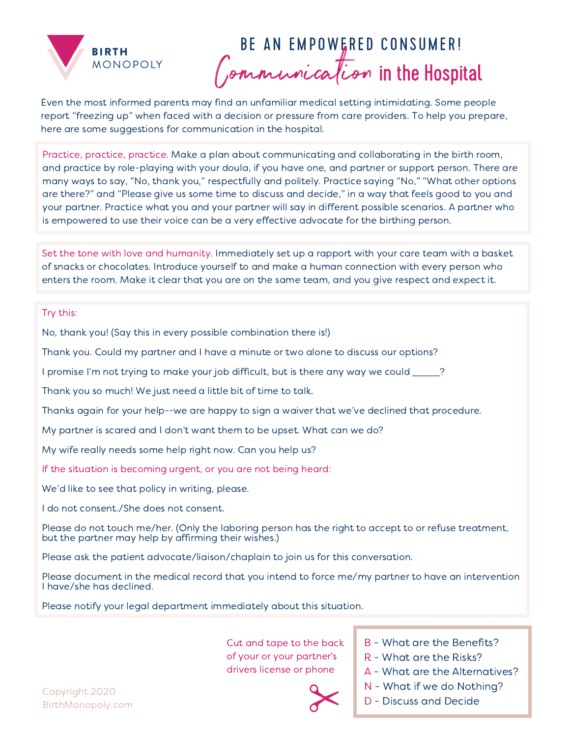

### BE AN EMPOWERED CONSUMER! Communication in the Hospital

Even the most informed parents may find an unfamiliar medical setting intimidating. Some people report "freezing up" when faced with a decision or pressure from care providers. To help you prepare, here are some suggestions for communication in the hospital.

Practice, practice, practice. Make a plan about communicating and collaborating in the birth room, and practice by role-playing with your doula, if you have one, and partner or support person. There are many ways to say, "No, thank you," respectfully and politely. Practice saying "No," "What other options are there?" and "Please give us some time to discuss and decide," in a way that feels good to you and your partner. Practice what you and your partner will say in different possible scenarios. A partner who is empowered to use their voice can be a very effective advocate for the birthing person.

Set the tone with love and humanity. Immediately set up a rapport with your care team with a basket of snacks or chocolates. Introduce yourself to and make a human connection with every person who enters the room. Make it clear that you are on the same team, and you give respect and expect it.

#### Try this:

No, thank you! (Say this in every possible combination there is!)

Thank you. Could my partner and I have a minute or two alone to discuss our options?

I promise I'm not trying to make your job difficult, but is there any way we could  $\qquad$  ?

Thank you so much! We just need a little bit of time to talk.

Thanks again for your help--we are happy to sign a waiver that we've declined that procedure.

My partner is scared and I don't want them to be upset. What can we do?

My wife really needs some help right now. Can you help us?

If the situation is becoming urgent, or you are not being heard:

We'd like to see that policy in writing, please.

I do not consent./She does not consent.

Please do not touch me/her. (Only the laboring person has the right to accept to or refuse treatment, but the partner may help by affirming their wishes.)

Please ask the patient advocate/liaison/chaplain to join us for this conversation.

Please document in the medical record that you intend to force me/my partner to have an intervention I have/she has declined.

Please notify your legal department immediately about this situation.

Cut and tape to the back of your or your partner's drivers license or phone

- B What are the Benefits?
- R What are the Risks?
- A What are the Alternatives?
- N What if we do Nothing?
- D Discuss and Decide

Copyright 2020 BirthMonopoly.com